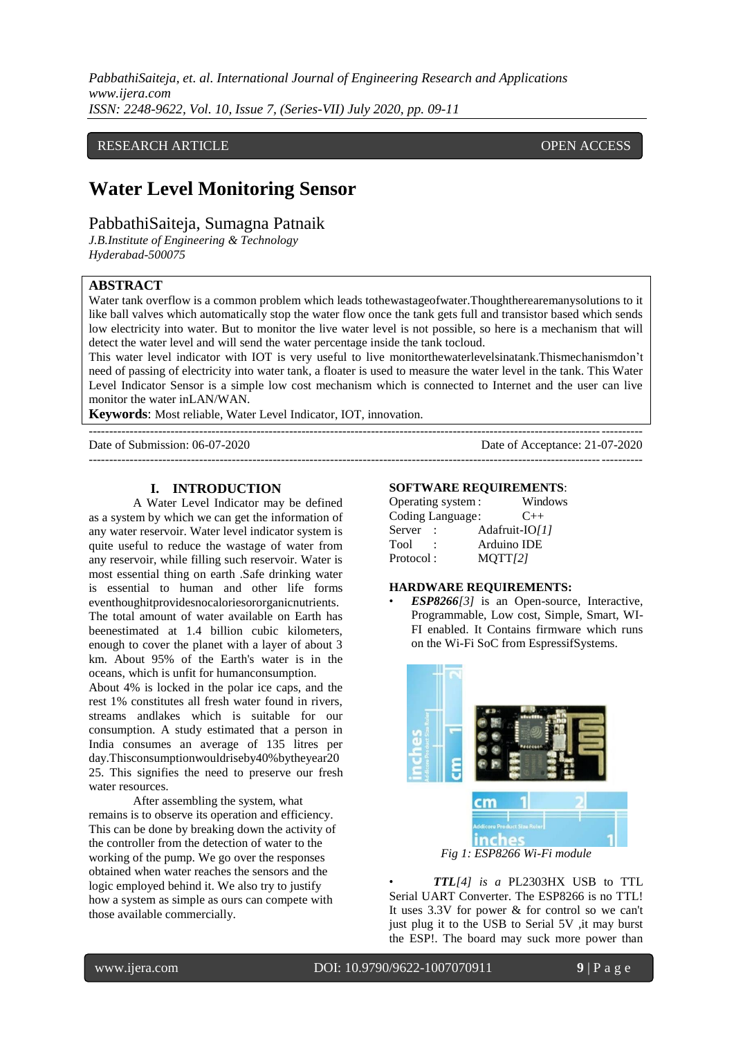*PabbathiSaiteja, et. al. International Journal of Engineering Research and Applications www.ijera.com ISSN: 2248-9622, Vol. 10, Issue 7, (Series-VII) July 2020, pp. 09-11*

## RESEARCH ARTICLE **CONTRACT ARTICLE** AND A SERVICE OPEN ACCESS

# **Water Level Monitoring Sensor**

## PabbathiSaiteja, Sumagna Patnaik

*J.B.Institute of Engineering & Technology Hyderabad-500075*

## **ABSTRACT**

Water tank overflow is a common problem which leads tothewastageofwater.Thoughtherearemanysolutions to it like ball valves which automatically stop the water flow once the tank gets full and transistor based which sends low electricity into water. But to monitor the live water level is not possible, so here is a mechanism that will detect the water level and will send the water percentage inside the tank tocloud.

This water level indicator with IOT is very useful to live monitorthewaterlevelsinatank.Thismechanismdon't need of passing of electricity into water tank, a floater is used to measure the water level in the tank. This Water Level Indicator Sensor is a simple low cost mechanism which is connected to Internet and the user can live monitor the water inLAN/WAN.

---------------------------------------------------------------------------------------------------------------------------------------

---------------------------------------------------------------------------------------------------------------------------------------

**Keywords**: Most reliable, Water Level Indicator, IOT, innovation.

Date of Submission: 06-07-2020 Date of Acceptance: 21-07-2020

**I. INTRODUCTION**

A Water Level Indicator may be defined as a system by which we can get the information of any water reservoir. Water level indicator system is quite useful to reduce the wastage of water from any reservoir, while filling such reservoir. Water is most essential thing on earth .Safe drinking water is essential to human and other life forms eventhoughitprovidesnocaloriesororganicnutrients. The total amount of water available on Earth has beenestimated at 1.4 billion cubic kilometers, enough to cover the planet with a layer of about 3 km. About 95% of the Earth's water is in the oceans, which is unfit for humanconsumption.

About 4% is locked in the polar ice caps, and the rest 1% constitutes all fresh water found in rivers, streams andlakes which is suitable for our consumption. A study estimated that a person in India consumes an average of 135 litres per day.Thisconsumptionwouldriseby40%bytheyear20 25. This signifies the need to preserve our fresh water resources.

After assembling the system, what remains is to observe its operation and efficiency. This can be done by breaking down the activity of the controller from the detection of water to the working of the pump. We go over the responses obtained when water reaches the sensors and the logic employed behind it. We also try to justify how a system as simple as ours can compete with those available commercially.

#### **SOFTWARE REQUIREMENTS**:

|             | Operating system: |                | Windows  |
|-------------|-------------------|----------------|----------|
|             | Coding Language:  |                | $C_{++}$ |
| Server      |                   | Adafruit-IO/11 |          |
| <b>Tool</b> |                   | Arduino IDE    |          |
| Protocol:   |                   | MQTT[2]        |          |

#### **HARDWARE REQUIREMENTS:**

• *ESP8266[3]* is an Open-source, Interactive, Programmable, Low cost, Simple, Smart, WI-FI enabled. It Contains firmware which runs on the Wi-Fi SoC from EspressifSystems.



*Fig 1: ESP8266 Wi-Fi module*

• *TTL[4] is a* PL2303HX USB to TTL Serial UART Converter. The ESP8266 is no TTL! It uses 3.3V for power & for control so we can't just plug it to the USB to Serial 5V , it may burst the ESP!. The board may suck more power than

י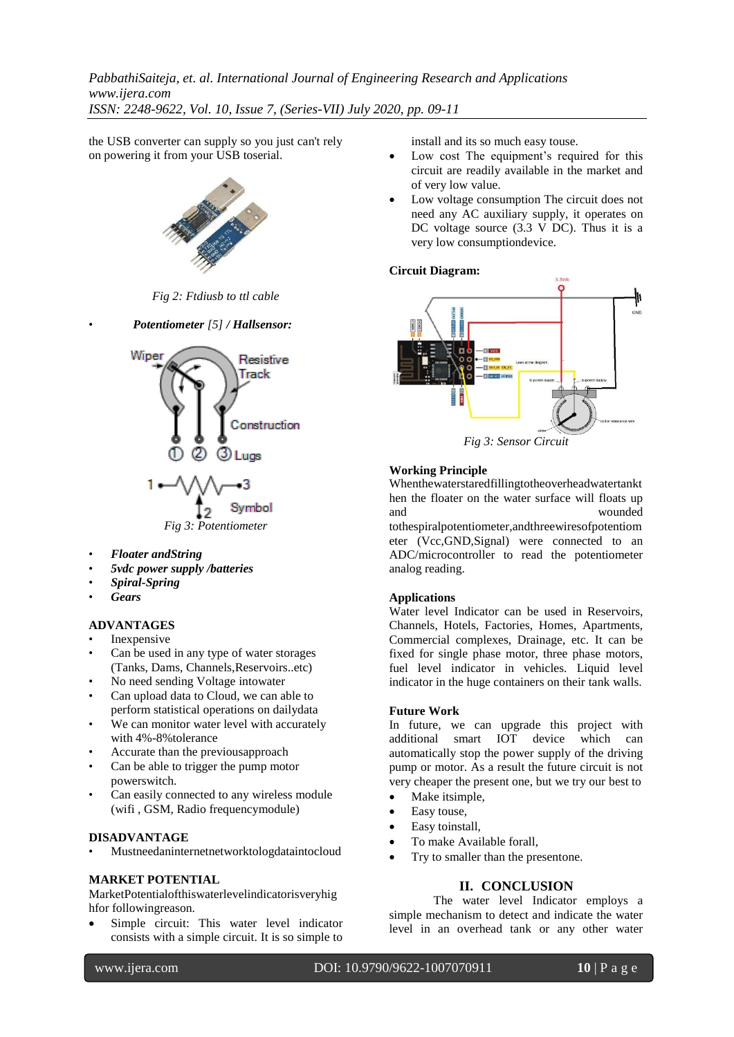*PabbathiSaiteja, et. al. International Journal of Engineering Research and Applications www.ijera.com ISSN: 2248-9622, Vol. 10, Issue 7, (Series-VII) July 2020, pp. 09-11*

the USB converter can supply so you just can't rely on powering it from your USB toserial.



*Fig 2: Ftdiusb to ttl cable*





- *Floater andString*
- *5vdc power supply /batteries*
- *Spiral-Spring*
- *Gears*

#### **ADVANTAGES**

- **Inexpensive**
- Can be used in any type of water storages (Tanks, Dams, Channels,Reservoirs..etc)
- No need sending Voltage intowater
- Can upload data to Cloud, we can able to perform statistical operations on dailydata
- We can monitor water level with accurately with 4%-8%tolerance
- Accurate than the previousapproach
- Can be able to trigger the pump motor powerswitch.
- Can easily connected to any wireless module (wifi , GSM, Radio frequencymodule)

#### **DISADVANTAGE**

• Mustneedaninternetnetworktologdataintocloud

#### **MARKET POTENTIAL**

MarketPotentialofthiswaterlevelindicatorisveryhig hfor followingreason.

 Simple circuit: This water level indicator consists with a simple circuit. It is so simple to

install and its so much easy touse.

- Low cost The equipment's required for this circuit are readily available in the market and of very low value.
- Low voltage consumption The circuit does not need any AC auxiliary supply, it operates on DC voltage source (3.3 V DC). Thus it is a very low consumptiondevice.

## **Circuit Diagram:**



*Fig 3: Sensor Circuit*

## **Working Principle**

Whenthewaterstaredfillingtotheoverheadwatertankt hen the floater on the water surface will floats up and wounded

tothespiralpotentiometer,andthreewiresofpotentiom eter (Vcc,GND,Signal) were connected to an ADC/microcontroller to read the potentiometer analog reading.

## **Applications**

Water level Indicator can be used in Reservoirs, Channels, Hotels, Factories, Homes, Apartments, Commercial complexes, Drainage, etc. It can be fixed for single phase motor, three phase motors, fuel level indicator in vehicles. Liquid level indicator in the huge containers on their tank walls.

## **Future Work**

In future, we can upgrade this project with additional smart IOT device which can automatically stop the power supply of the driving pump or motor. As a result the future circuit is not very cheaper the present one, but we try our best to

- Make itsimple,
- Easy touse,
- Easy toinstall,
- To make Available forall,
- Try to smaller than the presentone.

#### **II. CONCLUSION**

The water level Indicator employs a simple mechanism to detect and indicate the water level in an overhead tank or any other water

י